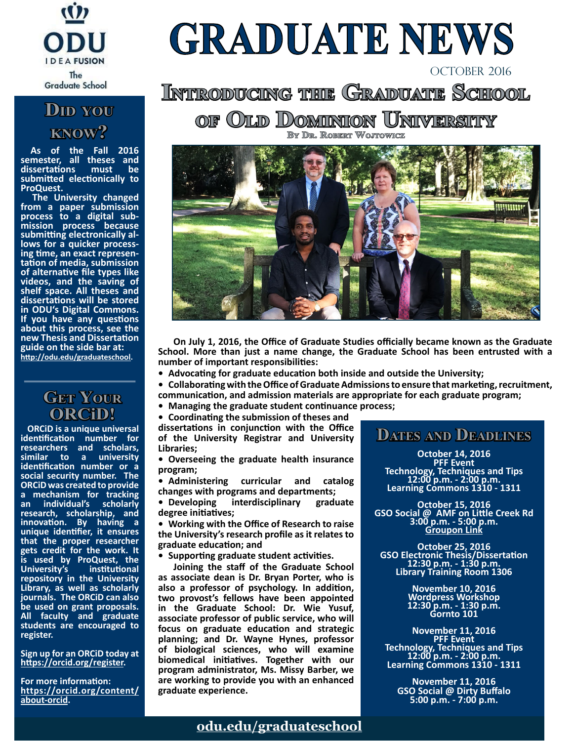

### **Did you know?**

 **As of the Fall 2016 semester, all theses and dissertations submitted electionically to ProQuest.**

 **The University changed from a paper submission process because**<br> **process** because<br> **submitting electronically alsubmitting electronically al- lows for a quicker process- ing time, an exact represen- tation of media, submission of alternative file types like videos, and the saving of shelf space. All theses and dissertations will be stored in ODU's Digital Commons. If you have any questions about this process, see the new Thesis and Dissertation guide on the side bar at: [http://odu.edu/graduates](http://odu.edu/graduateschool)chool.**

#### **Get Your ORCiD!**

 **ORCiD is a unique universal identification number for researchers and scholars, similar to a university identification number or a social security number. The ORCiD was created to provide a mechanism for tracking an individual's scholarly research, scholarship, and innovation. By having a unique identifier, it ensures that the proper researcher gets credit for the work. It is used by ProQuest, the University's repository in the University Library, as well as scholarly journals. The ORCiD can also be used on grant proposals. All faculty and graduate students are encouraged to register.** 

**Sign up for an ORCiD today at [https://orcid.org/register.](https://orcid.org/register)**

**For more information: [https://orcid.org/content/](https://orcid.org/content/about-orcid) [about-orcid.](https://orcid.org/content/about-orcid)** 

# **GRADUATE NEWS**

# **INTRODUCING THE GRADUATE SCHOOL**

**of Old Dominion University By Dr. Robert Wojtowicz**



**\_\_\_On July 1, 2016, the Office of Graduate Studies officially became known as the Graduate School. More than just a name change, the Graduate School has been entrusted with a number of important responsibilities:**

**•\_Advocating for graduate education both inside and outside the University;**

**•\_Collaborating with the Office of Graduate Admissions to ensure that marketing, recruitment, communication, and admission materials are appropriate for each graduate program;** 

**•\_Managing the graduate student continuance process;** 

**•\_Coordinating the submission of theses and\_ dissertations in conjunction with the Office of the University Registrar and University Libraries;** 

**•\_Overseeing the graduate health insurance program;**

**•\_Administering curricular and catalog changes with programs and departments;**

**•\_Developing interdisciplinary graduate degree initiatives;**

**•\_Working with the Office of Research to raise the University's research profile as it relates to graduate education; and**

**•\_Supporting graduate student activities.**

**\_\_\_Joining the staff of the Graduate School as associate dean is Dr. Bryan Porter, who is also a professor of psychology. In addition, two provost's fellows have been appointed in the Graduate School: Dr. Wie Yusuf, associate professor of public service, who will focus on graduate education and strategic planning; and Dr. Wayne Hynes, professor of biological sciences, who will examine biomedical initiatives. Together with our program administrator, Ms. Missy Barber, we are working to provide you with an enhanced graduate experience.**

#### **Dates and Deadlines**

OCTOBER 2016

**October 14, 2016 PFF Event Technology, Techniques and Tips 12:00 p.m. - 2:00 p.m. Learning Commons 1310 - 1311**

**October 15, 2016 GSO Social @ AMF on Little Creek Rd 3:00 p.m. - 5:00 p.m. [Groupon Link](https://www.groupon.com/deals/amf-bowling-centers-172-hampton-roads)**

**October 25, 2016 GSO Electronic Thesis/Dissertation 12:30 p.m. - 1:30 p.m. Library Training Room 1306**

> **November 10, 2016 Wordpress Workshop 12:30 p.m. - 1:30 p.m. Gornto 101**

**November 11, 2016 PFF Event Technology, Techniques and Tips 12:00 p.m. - 2:00 p.m. Learning Commons 1310 - 1311**

**November 11, 2016 GSO Social @ Dirty Buffalo 5:00 p.m. - 7:00 p.m.**

#### **[odu.edu/graduateschool](http://odu.edu/graduateschool)**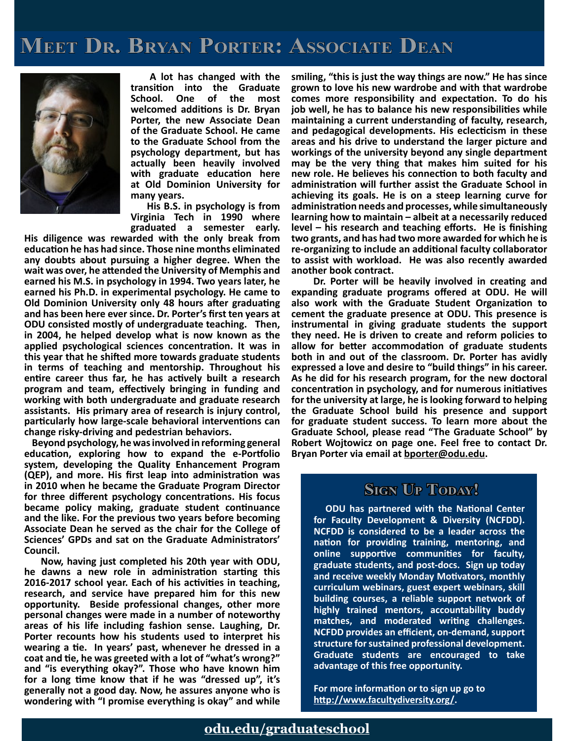# **Meet Dr. Bryan Porter: Associate Dean**



 **A lot has changed with the transition into the Graduate School. One of the most welcomed additions is Dr. Bryan Porter, the new Associate Dean of the Graduate School. He came to the Graduate School from the psychology department, but has actually been heavily involved with graduate education here at Old Dominion University for many years.**

 **His B.S. in psychology is from Virginia Tech in 1990 where graduated a semester early.** 

**His diligence was rewarded with the only break from education he has had since. Those nine months eliminated any doubts about pursuing a higher degree. When the wait was over, he attended the University of Memphis and earned his M.S. in psychology in 1994. Two years later, he earned his Ph.D. in experimental psychology. He came to Old Dominion University only 48 hours after graduating and has been here ever since. Dr. Porter's first ten years at ODU consisted mostly of undergraduate teaching. Then, in 2004, he helped develop what is now known as the applied psychological sciences concentration. It was in this year that he shifted more towards graduate students in terms of teaching and mentorship. Throughout his entire career thus far, he has actively built a research program and team, effectively bringing in funding and working with both undergraduate and graduate research assistants. His primary area of research is injury control, particularly how large-scale behavioral interventions can change risky-driving and pedestrian behaviors.**

 **Beyond psychology, he was involved in reforming general education, exploring how to expand the e-Portfolio system, developing the Quality Enhancement Program (QEP), and more. His first leap into administration was in 2010 when he became the Graduate Program Director for three different psychology concentrations. His focus became policy making, graduate student continuance and the like. For the previous two years before becoming Associate Dean he served as the chair for the College of Sciences' GPDs and sat on the Graduate Administrators' Council.**

 **Now, having just completed his 20th year with ODU, he dawns a new role in administration starting this 2016-2017 school year. Each of his activities in teaching, research, and service have prepared him for this new opportunity. Beside professional changes, other more personal changes were made in a number of noteworthy areas of his life including fashion sense. Laughing, Dr. Porter recounts how his students used to interpret his wearing a tie. In years' past, whenever he dressed in a coat and tie, he was greeted with a lot of "what's wrong?" and "is everything okay?". Those who have known him for a long time know that if he was "dressed up", it's generally not a good day. Now, he assures anyone who is wondering with "I promise everything is okay" and while** 

**smiling, "this is just the way things are now." He has since grown to love his new wardrobe and with that wardrobe comes more responsibility and expectation. To do his job well, he has to balance his new responsibilities while maintaining a current understanding of faculty, research, and pedagogical developments. His eclecticism in these areas and his drive to understand the larger picture and workings of the university beyond any single department may be the very thing that makes him suited for his new role. He believes his connection to both faculty and administration will further assist the Graduate School in achieving its goals. He is on a steep learning curve for administration needs and processes, while simultaneously learning how to maintain – albeit at a necessarily reduced level – his research and teaching efforts. He is finishing two grants, and has had two more awarded for which he is re-organizing to include an additional faculty collaborator to assist with workload. He was also recently awarded another book contract.** 

 **Dr. Porter will be heavily involved in creating and expanding graduate programs offered at ODU. He will also work with the Graduate Student Organization to cement the graduate presence at ODU. This presence is instrumental in giving graduate students the support they need. He is driven to create and reform policies to allow for better accommodation of graduate students both in and out of the classroom. Dr. Porter has avidly expressed a love and desire to "build things" in his career. As he did for his research program, for the new doctoral concentration in psychology, and for numerous initiatives for the university at large, he is looking forward to helping the Graduate School build his presence and support for graduate student success. To learn more about the Graduate School, please read "The Graduate School" by Robert Wojtowicz on page one. Feel free to contact Dr. Bryan Porter via email at [bporter@odu.edu](mailto: bporter@odu.edu).**

#### **Stan Up Today!**

 **ODU has partnered with the National Center for Faculty Development & Diversity (NCFDD). NCFDD is considered to be a leader across the nation for providing training, mentoring, and online supportive communities for faculty, graduate students, and post-docs. Sign up today and receive weekly Monday Motivators, monthly curriculum webinars, guest expert webinars, skill building courses, a reliable support network of highly trained mentors, accountability buddy matches, and moderated writing challenges. NCFDD provides an efficient, on-demand, support structure for sustained professional development. Graduate students are encouraged to take advantage of this free opportunity.** 

**For more information or to sign up go to [http://www.facultydiversity.org/.](http://www.facultydiversity.org/)**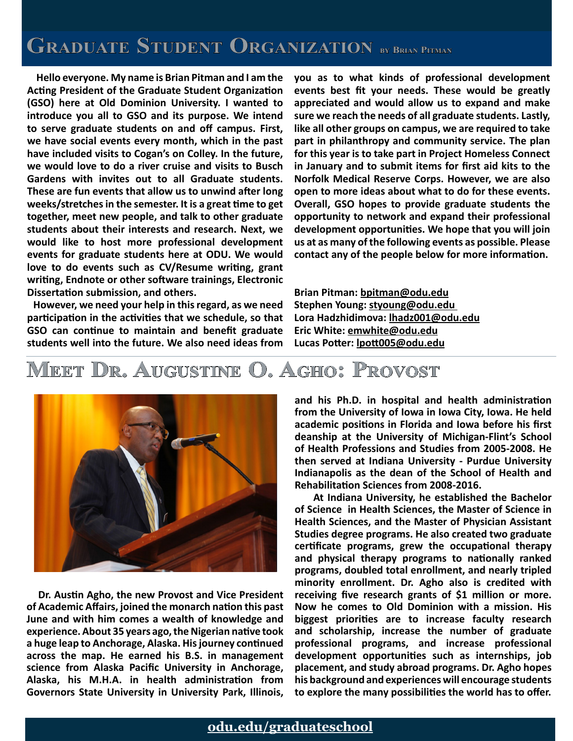# **Graduate Student Organization by Brian Pitman**

 **Hello everyone. My name is Brian Pitman and I am the Acting President of the Graduate Student Organization (GSO) here at Old Dominion University. I wanted to introduce you all to GSO and its purpose. We intend to serve graduate students on and off campus. First, we have social events every month, which in the past have included visits to Cogan's on Colley. In the future, we would love to do a river cruise and visits to Busch Gardens with invites out to all Graduate students. These are fun events that allow us to unwind after long weeks/stretches in the semester. It is a great time to get together, meet new people, and talk to other graduate students about their interests and research. Next, we would like to host more professional development events for graduate students here at ODU. We would love to do events such as CV/Resume writing, grant writing, Endnote or other software trainings, Electronic Dissertation submission, and others.** 

 **However, we need your help in this regard, as we need participation in the activities that we schedule, so that GSO can continue to maintain and benefit graduate students well into the future. We also need ideas from**  **you as to what kinds of professional development events best fit your needs. These would be greatly appreciated and would allow us to expand and make sure we reach the needs of all graduate students. Lastly, like all other groups on campus, we are required to take part in philanthropy and community service. The plan for this year is to take part in Project Homeless Connect in January and to submit items for first aid kits to the Norfolk Medical Reserve Corps. However, we are also open to more ideas about what to do for these events. Overall, GSO hopes to provide graduate students the opportunity to network and expand their professional development opportunities. We hope that you will join us at as many of the following events as possible. Please contact any of the people below for more information.**

**Brian Pitman: [bpitman@odu.edu](mailto: bpitman@odu.edu) Stephen Young: [styoung@odu.edu](mailto: styoung@odu.edu) Lora Hadzhidimova: [lhadz001@odu.edu](mailto: lhadz001@odu.edu) Eric White: [emwhite@odu.edu](mailto: emwhite@odu.edu) Lucas Potter: [lpott005@odu.edu](mailto: lpott005@odu.edu)**

# **Meet Dr. Augustine O. Agho: Provost**



 **Dr. Austin Agho, the new Provost and Vice President of Academic Affairs, joined the monarch nation this past June and with him comes a wealth of knowledge and experience. About 35 years ago, the Nigerian native took a huge leap to Anchorage, Alaska. His journey continued across the map. He earned his B.S. in management science from Alaska Pacific University in Anchorage, Alaska, his M.H.A. in health administration from Governors State University in University Park, Illinois,** 

**and his Ph.D. in hospital and health administration from the University of Iowa in Iowa City, Iowa. He held academic positions in Florida and Iowa before his first deanship at the University of Michigan-Flint's School of Health Professions and Studies from 2005-2008. He then served at Indiana University - Purdue University Indianapolis as the dean of the School of Health and Rehabilitation Sciences from 2008-2016.** 

 **At Indiana University, he established the Bachelor of Science in Health Sciences, the Master of Science in Health Sciences, and the Master of Physician Assistant Studies degree programs. He also created two graduate certificate programs, grew the occupational therapy and physical therapy programs to nationally ranked programs, doubled total enrollment, and nearly tripled minority enrollment. Dr. Agho also is credited with receiving five research grants of \$1 million or more. Now he comes to Old Dominion with a mission. His biggest priorities are to increase faculty research and scholarship, increase the number of graduate professional programs, and increase professional development opportunities such as internships, job placement, and study abroad programs. Dr. Agho hopes his background and experiences will encourage students to explore the many possibilities the world has to offer.**